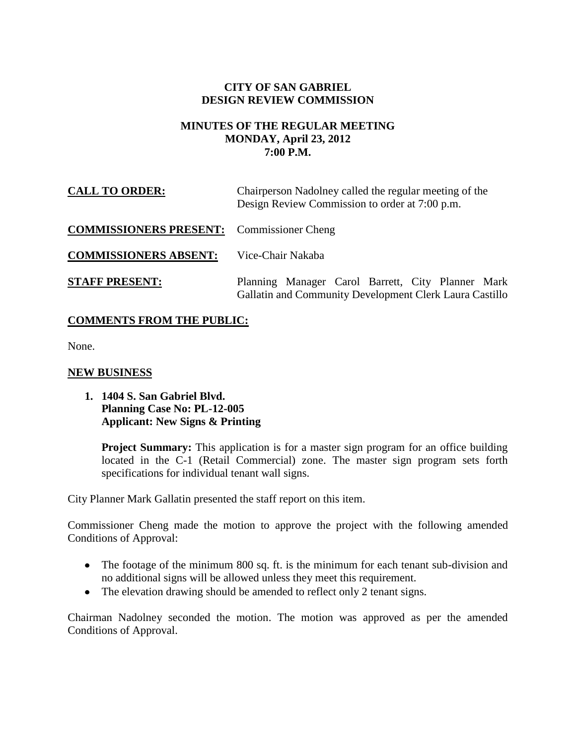## **CITY OF SAN GABRIEL DESIGN REVIEW COMMISSION**

### **MINUTES OF THE REGULAR MEETING MONDAY, April 23, 2012 7:00 P.M.**

| <b>CALL TO ORDER:</b>                            | Chairperson Nadolney called the regular meeting of the<br>Design Review Commission to order at 7:00 p.m.     |
|--------------------------------------------------|--------------------------------------------------------------------------------------------------------------|
| <b>COMMISSIONERS PRESENT:</b> Commissioner Cheng |                                                                                                              |
| <b>COMMISSIONERS ABSENT:</b>                     | Vice-Chair Nakaba                                                                                            |
| <b>STAFF PRESENT:</b>                            | Planning Manager Carol Barrett, City Planner Mark<br>Gallatin and Community Development Clerk Laura Castillo |

# **COMMENTS FROM THE PUBLIC:**

None.

### **NEW BUSINESS**

#### **1. 1404 S. San Gabriel Blvd. Planning Case No: PL-12-005 Applicant: New Signs & Printing**

**Project Summary:** This application is for a master sign program for an office building located in the C-1 (Retail Commercial) zone. The master sign program sets forth specifications for individual tenant wall signs.

City Planner Mark Gallatin presented the staff report on this item.

Commissioner Cheng made the motion to approve the project with the following amended Conditions of Approval:

- The footage of the minimum 800 sq. ft. is the minimum for each tenant sub-division and no additional signs will be allowed unless they meet this requirement.
- The elevation drawing should be amended to reflect only 2 tenant signs.

Chairman Nadolney seconded the motion. The motion was approved as per the amended Conditions of Approval.